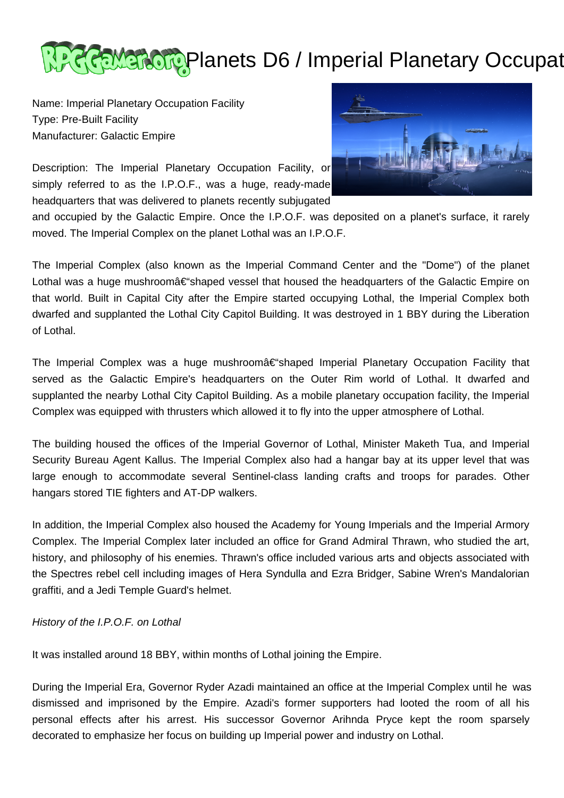

Name: Imperial Planetary Occupation Facility Type: Pre-Built Facility Manufacturer: Galactic Empire

Description: The Imperial Planetary Occupation Facility, or simply referred to as the I.P.O.F., was a huge, ready-made headquarters that was delivered to planets recently subjugated



and occupied by the Galactic Empire. Once the I.P.O.F. was deposited on a planet's surface, it rarely moved. The Imperial Complex on the planet Lothal was an I.P.O.F.

The Imperial Complex (also known as the Imperial Command Center and the "Dome") of the planet Lothal was a huge mushroomâ $\epsilon$ "shaped vessel that housed the headquarters of the Galactic Empire on that world. Built in Capital City after the Empire started occupying Lothal, the Imperial Complex both dwarfed and supplanted the Lothal City Capitol Building. It was destroyed in 1 BBY during the Liberation of Lothal.

The Imperial Complex was a huge mushroomâ€"shaped Imperial Planetary Occupation Facility that served as the Galactic Empire's headquarters on the Outer Rim world of Lothal. It dwarfed and supplanted the nearby Lothal City Capitol Building. As a mobile planetary occupation facility, the Imperial Complex was equipped with thrusters which allowed it to fly into the upper atmosphere of Lothal.

The building housed the offices of the Imperial Governor of Lothal, Minister Maketh Tua, and Imperial Security Bureau Agent Kallus. The Imperial Complex also had a hangar bay at its upper level that was large enough to accommodate several Sentinel-class landing crafts and troops for parades. Other hangars stored TIE fighters and AT-DP walkers.

In addition, the Imperial Complex also housed the Academy for Young Imperials and the Imperial Armory Complex. The Imperial Complex later included an office for Grand Admiral Thrawn, who studied the art, history, and philosophy of his enemies. Thrawn's office included various arts and objects associated with the Spectres rebel cell including images of Hera Syndulla and Ezra Bridger, Sabine Wren's Mandalorian graffiti, and a Jedi Temple Guard's helmet.

## History of the I.P.O.F. on Lothal

It was installed around 18 BBY, within months of Lothal joining the Empire.

During the Imperial Era, Governor Ryder Azadi maintained an office at the Imperial Complex until he was dismissed and imprisoned by the Empire. Azadi's former supporters had looted the room of all his personal effects after his arrest. His successor Governor Arihnda Pryce kept the room sparsely decorated to emphasize her focus on building up Imperial power and industry on Lothal.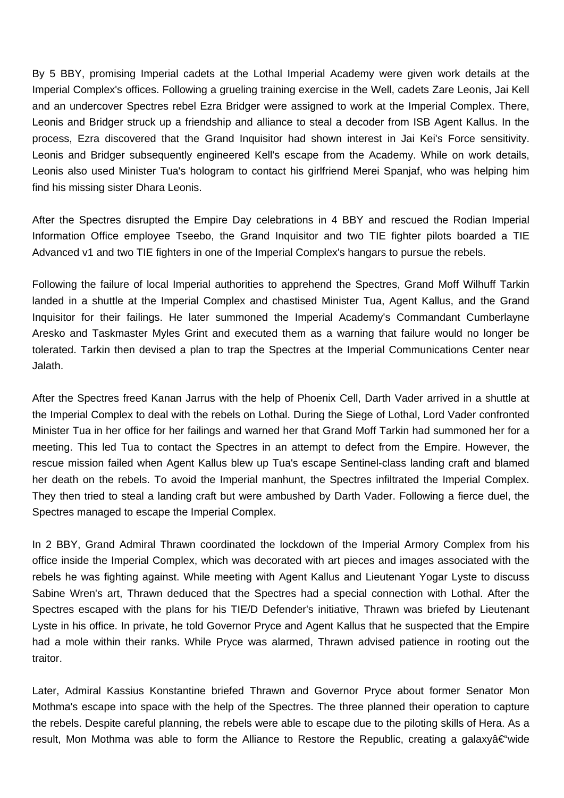By 5 BBY, promising Imperial cadets at the Lothal Imperial Academy were given work details at the Imperial Complex's offices. Following a grueling training exercise in the Well, cadets Zare Leonis, Jai Kell and an undercover Spectres rebel Ezra Bridger were assigned to work at the Imperial Complex. There, Leonis and Bridger struck up a friendship and alliance to steal a decoder from ISB Agent Kallus. In the process, Ezra discovered that the Grand Inquisitor had shown interest in Jai Kei's Force sensitivity. Leonis and Bridger subsequently engineered Kell's escape from the Academy. While on work details, Leonis also used Minister Tua's hologram to contact his girlfriend Merei Spanjaf, who was helping him find his missing sister Dhara Leonis.

After the Spectres disrupted the Empire Day celebrations in 4 BBY and rescued the Rodian Imperial Information Office employee Tseebo, the Grand Inquisitor and two TIE fighter pilots boarded a TIE Advanced v1 and two TIE fighters in one of the Imperial Complex's hangars to pursue the rebels.

Following the failure of local Imperial authorities to apprehend the Spectres, Grand Moff Wilhuff Tarkin landed in a shuttle at the Imperial Complex and chastised Minister Tua, Agent Kallus, and the Grand Inquisitor for their failings. He later summoned the Imperial Academy's Commandant Cumberlayne Aresko and Taskmaster Myles Grint and executed them as a warning that failure would no longer be tolerated. Tarkin then devised a plan to trap the Spectres at the Imperial Communications Center near Jalath.

After the Spectres freed Kanan Jarrus with the help of Phoenix Cell, Darth Vader arrived in a shuttle at the Imperial Complex to deal with the rebels on Lothal. During the Siege of Lothal, Lord Vader confronted Minister Tua in her office for her failings and warned her that Grand Moff Tarkin had summoned her for a meeting. This led Tua to contact the Spectres in an attempt to defect from the Empire. However, the rescue mission failed when Agent Kallus blew up Tua's escape Sentinel-class landing craft and blamed her death on the rebels. To avoid the Imperial manhunt, the Spectres infiltrated the Imperial Complex. They then tried to steal a landing craft but were ambushed by Darth Vader. Following a fierce duel, the Spectres managed to escape the Imperial Complex.

In 2 BBY, Grand Admiral Thrawn coordinated the lockdown of the Imperial Armory Complex from his office inside the Imperial Complex, which was decorated with art pieces and images associated with the rebels he was fighting against. While meeting with Agent Kallus and Lieutenant Yogar Lyste to discuss Sabine Wren's art, Thrawn deduced that the Spectres had a special connection with Lothal. After the Spectres escaped with the plans for his TIE/D Defender's initiative, Thrawn was briefed by Lieutenant Lyste in his office. In private, he told Governor Pryce and Agent Kallus that he suspected that the Empire had a mole within their ranks. While Pryce was alarmed, Thrawn advised patience in rooting out the traitor.

Later, Admiral Kassius Konstantine briefed Thrawn and Governor Pryce about former Senator Mon Mothma's escape into space with the help of the Spectres. The three planned their operation to capture the rebels. Despite careful planning, the rebels were able to escape due to the piloting skills of Hera. As a result, Mon Mothma was able to form the Alliance to Restore the Republic, creating a galaxyâ  $\in$ "wide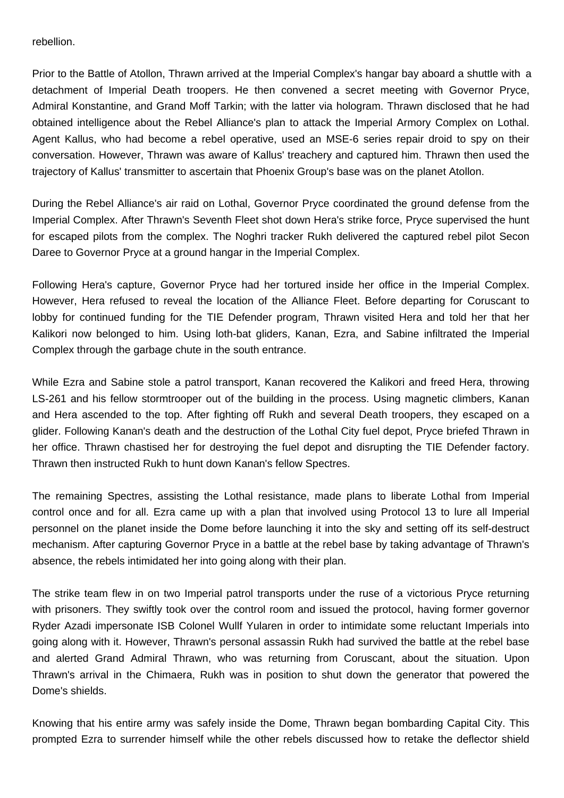rebellion.

Prior to the Battle of Atollon, Thrawn arrived at the Imperial Complex's hangar bay aboard a shuttle with a detachment of Imperial Death troopers. He then convened a secret meeting with Governor Pryce, Admiral Konstantine, and Grand Moff Tarkin; with the latter via hologram. Thrawn disclosed that he had obtained intelligence about the Rebel Alliance's plan to attack the Imperial Armory Complex on Lothal. Agent Kallus, who had become a rebel operative, used an MSE-6 series repair droid to spy on their conversation. However, Thrawn was aware of Kallus' treachery and captured him. Thrawn then used the trajectory of Kallus' transmitter to ascertain that Phoenix Group's base was on the planet Atollon.

During the Rebel Alliance's air raid on Lothal, Governor Pryce coordinated the ground defense from the Imperial Complex. After Thrawn's Seventh Fleet shot down Hera's strike force, Pryce supervised the hunt for escaped pilots from the complex. The Noghri tracker Rukh delivered the captured rebel pilot Secon Daree to Governor Pryce at a ground hangar in the Imperial Complex.

Following Hera's capture, Governor Pryce had her tortured inside her office in the Imperial Complex. However, Hera refused to reveal the location of the Alliance Fleet. Before departing for Coruscant to lobby for continued funding for the TIE Defender program, Thrawn visited Hera and told her that her Kalikori now belonged to him. Using loth-bat gliders, Kanan, Ezra, and Sabine infiltrated the Imperial Complex through the garbage chute in the south entrance.

While Ezra and Sabine stole a patrol transport, Kanan recovered the Kalikori and freed Hera, throwing LS-261 and his fellow stormtrooper out of the building in the process. Using magnetic climbers, Kanan and Hera ascended to the top. After fighting off Rukh and several Death troopers, they escaped on a glider. Following Kanan's death and the destruction of the Lothal City fuel depot, Pryce briefed Thrawn in her office. Thrawn chastised her for destroying the fuel depot and disrupting the TIE Defender factory. Thrawn then instructed Rukh to hunt down Kanan's fellow Spectres.

The remaining Spectres, assisting the Lothal resistance, made plans to liberate Lothal from Imperial control once and for all. Ezra came up with a plan that involved using Protocol 13 to lure all Imperial personnel on the planet inside the Dome before launching it into the sky and setting off its self-destruct mechanism. After capturing Governor Pryce in a battle at the rebel base by taking advantage of Thrawn's absence, the rebels intimidated her into going along with their plan.

The strike team flew in on two Imperial patrol transports under the ruse of a victorious Pryce returning with prisoners. They swiftly took over the control room and issued the protocol, having former governor Ryder Azadi impersonate ISB Colonel Wullf Yularen in order to intimidate some reluctant Imperials into going along with it. However, Thrawn's personal assassin Rukh had survived the battle at the rebel base and alerted Grand Admiral Thrawn, who was returning from Coruscant, about the situation. Upon Thrawn's arrival in the Chimaera, Rukh was in position to shut down the generator that powered the Dome's shields.

Knowing that his entire army was safely inside the Dome, Thrawn began bombarding Capital City. This prompted Ezra to surrender himself while the other rebels discussed how to retake the deflector shield